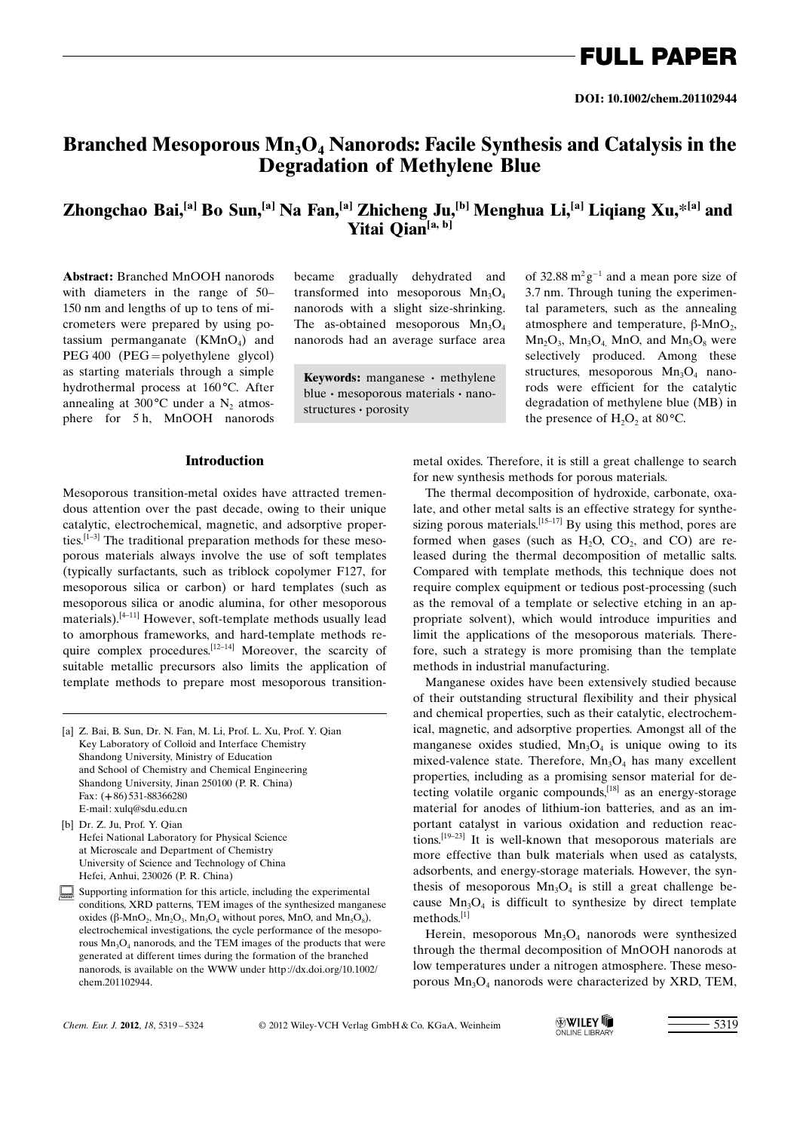FULL PAPER

# Branched Mesoporous  $Mn_3O_4$  Nanorods: Facile Synthesis and Catalysis in the Degradation of Methylene Blue

## Zhongchao Bai,<sup>[a]</sup> Bo Sun,<sup>[a]</sup> Na Fan,<sup>[a]</sup> Zhicheng Ju,<sup>[b]</sup> Menghua Li,<sup>[a]</sup> Liqiang Xu,\*<sup>[a]</sup> and Yitai Qian<sup>[a, b]</sup>

Abstract: Branched MnOOH nanorods with diameters in the range of 50– 150 nm and lengths of up to tens of micrometers were prepared by using potassium permanganate  $(KMnO<sub>4</sub>)$  and PEG 400 (PEG=polyethylene glycol) as starting materials through a simple hydrothermal process at 160°C. After annealing at  $300^{\circ}$ C under a N<sub>2</sub> atmosphere for 5 h, MnOOH nanorods became gradually dehydrated and transformed into mesoporous  $Mn_3O_4$ nanorods with a slight size-shrinking. The as-obtained mesoporous  $Mn_3O<sub>4</sub>$ nanorods had an average surface area

Keywords: manganese · methylene blue · mesoporous materials · nanostructures · porosity

## Introduction

Mesoporous transition-metal oxides have attracted tremendous attention over the past decade, owing to their unique catalytic, electrochemical, magnetic, and adsorptive properties.<sup>[1–3]</sup> The traditional preparation methods for these mesoporous materials always involve the use of soft templates (typically surfactants, such as triblock copolymer F127, for mesoporous silica or carbon) or hard templates (such as mesoporous silica or anodic alumina, for other mesoporous materials).[4–11] However, soft-template methods usually lead to amorphous frameworks, and hard-template methods require complex procedures.<sup>[12–14]</sup> Moreover, the scarcity of suitable metallic precursors also limits the application of template methods to prepare most mesoporous transition-

- [a] Z. Bai, B. Sun, Dr. N. Fan, M. Li, Prof. L. Xu, Prof. Y. Qian Key Laboratory of Colloid and Interface Chemistry Shandong University, Ministry of Education and School of Chemistry and Chemical Engineering Shandong University, Jinan 250100 (P. R. China) Fax: (+86) 531-88366280 E-mail: xulq@sdu.edu.cn
- [b] Dr. Z. Ju, Prof. Y. Qian Hefei National Laboratory for Physical Science at Microscale and Department of Chemistry University of Science and Technology of China Hefei, Anhui, 230026 (P. R. China)
- Supporting information for this article, including the experimental conditions, XRD patterns, TEM images of the synthesized manganese oxides ( $\beta$ -MnO<sub>2</sub>, Mn<sub>2</sub>O<sub>3</sub>, Mn<sub>3</sub>O<sub>4</sub> without pores, MnO, and Mn<sub>5</sub>O<sub>8</sub>), electrochemical investigations, the cycle performance of the mesoporous  $Mn_3O_4$  nanorods, and the TEM images of the products that were generated at different times during the formation of the branched nanorods, is available on the WWW under http://dx.doi.org/10.1002/ chem.201102944.

of 32.88  $m^2g^{-1}$  and a mean pore size of 3.7 nm. Through tuning the experimental parameters, such as the annealing atmosphere and temperature,  $\beta$ -MnO<sub>2</sub>,  $Mn_2O_3$ ,  $Mn_3O_4$ , MnO, and  $Mn_5O_8$  were selectively produced. Among these structures, mesoporous  $Mn_3O_4$  nanorods were efficient for the catalytic degradation of methylene blue (MB) in the presence of  $H_2O_2$  at 80 °C.

metal oxides. Therefore, it is still a great challenge to search for new synthesis methods for porous materials.

The thermal decomposition of hydroxide, carbonate, oxalate, and other metal salts is an effective strategy for synthesizing porous materials.<sup>[15-17]</sup> By using this method, pores are formed when gases (such as  $H_2O$ ,  $CO_2$ , and  $CO$ ) are released during the thermal decomposition of metallic salts. Compared with template methods, this technique does not require complex equipment or tedious post-processing (such as the removal of a template or selective etching in an appropriate solvent), which would introduce impurities and limit the applications of the mesoporous materials. Therefore, such a strategy is more promising than the template methods in industrial manufacturing.

Manganese oxides have been extensively studied because of their outstanding structural flexibility and their physical and chemical properties, such as their catalytic, electrochemical, magnetic, and adsorptive properties. Amongst all of the manganese oxides studied,  $Mn_3O_4$  is unique owing to its mixed-valence state. Therefore,  $Mn_3O_4$  has many excellent properties, including as a promising sensor material for detecting volatile organic compounds,[18] as an energy-storage material for anodes of lithium-ion batteries, and as an important catalyst in various oxidation and reduction reactions.[19–23] It is well-known that mesoporous materials are more effective than bulk materials when used as catalysts, adsorbents, and energy-storage materials. However, the synthesis of mesoporous  $Mn_3O_4$  is still a great challenge because  $Mn<sub>3</sub>O<sub>4</sub>$  is difficult to synthesize by direct template methods.[1]

Herein, mesoporous  $Mn_3O_4$  nanorods were synthesized through the thermal decomposition of MnOOH nanorods at low temperatures under a nitrogen atmosphere. These mesoporous  $Mn_3O_4$  nanorods were characterized by XRD, TEM,

Chem. Eur. J. 2012, 18, 5319-5324

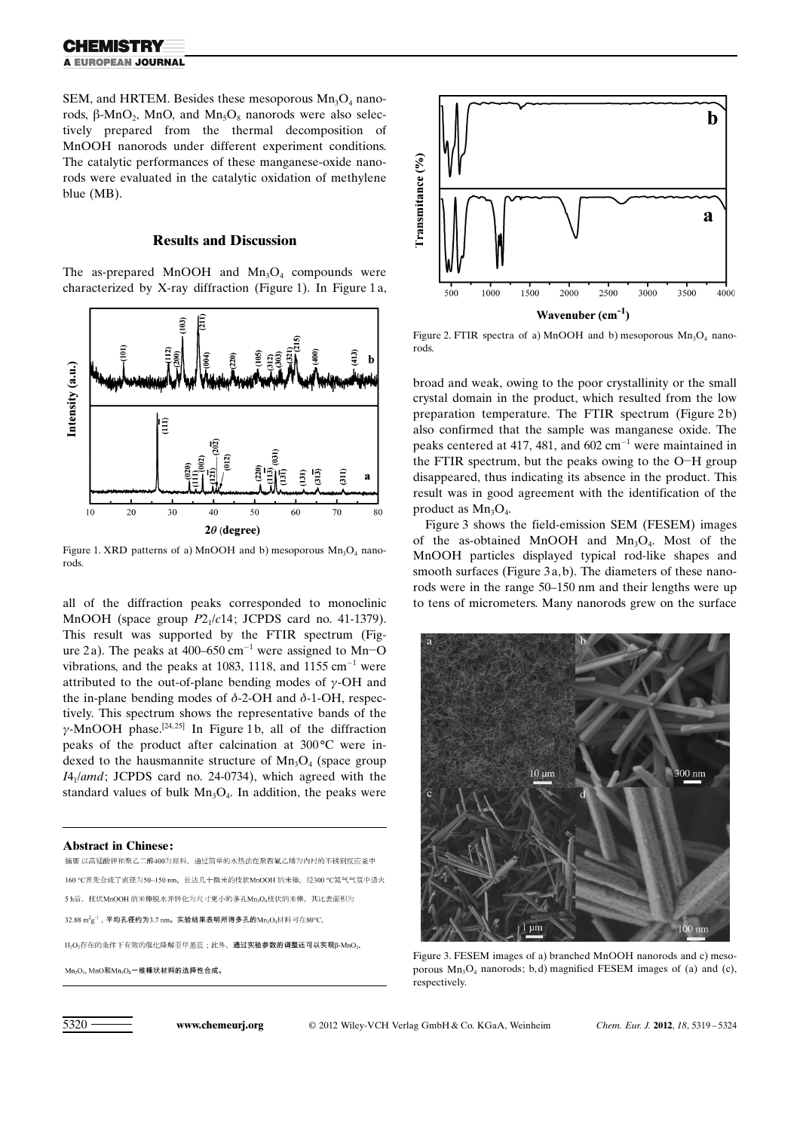SEM, and HRTEM. Besides these mesoporous  $Mn_3O_4$  nanorods,  $\beta$ -MnO<sub>2</sub>, MnO<sub>2</sub> and Mn<sub>5</sub>O<sub>8</sub> nanorods were also selectively prepared from the thermal decomposition of MnOOH nanorods under different experiment conditions. The catalytic performances of these manganese-oxide nanorods were evaluated in the catalytic oxidation of methylene blue (MB).

### Results and Discussion

The as-prepared MnOOH and  $Mn_3O_4$  compounds were characterized by X-ray diffraction (Figure 1). In Figure 1 a,



Figure 1. XRD patterns of a) MnOOH and b) mesoporous  $Mn_3O_4$  nanorods.

all of the diffraction peaks corresponded to monoclinic MnOOH (space group  $P2_1/c14$ ; JCPDS card no. 41-1379). This result was supported by the FTIR spectrum (Figure 2a). The peaks at  $400-650$  cm<sup>-1</sup> were assigned to Mn-O vibrations, and the peaks at 1083, 1118, and 1155  $cm^{-1}$  were attributed to the out-of-plane bending modes of  $\gamma$ -OH and the in-plane bending modes of  $\delta$ -2-OH and  $\delta$ -1-OH, respectively. This spectrum shows the representative bands of the  $\gamma$ -MnOOH phase.<sup>[24,25]</sup> In Figure 1b, all of the diffraction peaks of the product after calcination at  $300^{\circ}$ C were indexed to the hausmannite structure of  $Mn_3O_4$  (space group  $I4_1$ /amd; JCPDS card no. 24-0734), which agreed with the standard values of bulk  $Mn_3O_4$ . In addition, the peaks were

Abstract in Chinese:<br>摘要 以高锰酸钾和聚乙二醇400为原料,通过简单的水热法在聚四氟乙烯为内衬的不锈钢反应釜中 160 ℃首先合成了直径为50~150 nm, 长达几十微米的技状MnOOH 纳米棒。经300 ℃氯气气氛中退火 5 h后, 枝状MnOOH 纳米棒脱水并转化为尺寸更小的多孔Mn<sub>3</sub>O4枝状纳米棒, 其比表面积为 32.88  $m^2g^{-1}$ , 平均孔径约为3.7 nm。实验结果表明所得多孔的 $Mn_3O_4$ 材料可在80°C,  $\mathrm{H}_2\mathrm{O}_2$ 存在的条件下有效的催化降解亚甲基蓝;此外,通过实验参数的调整还可以实现β-MnO2,

 $Mn_2O_3$ ,  $MnO$ 和 $Mn_5O_8$ 一维棒状材料的选择性合成。



Figure 2. FTIR spectra of a) MnOOH and b) mesoporous  $Mn_3O_4$  nanorods.

broad and weak, owing to the poor crystallinity or the small crystal domain in the product, which resulted from the low preparation temperature. The FTIR spectrum (Figure 2b) also confirmed that the sample was manganese oxide. The peaks centered at 417, 481, and  $602 \text{ cm}^{-1}$  were maintained in the FTIR spectrum, but the peaks owing to the O-H group disappeared, thus indicating its absence in the product. This result was in good agreement with the identification of the product as  $Mn_3O_4$ .

Figure 3 shows the field-emission SEM (FESEM) images of the as-obtained MnOOH and  $Mn_3O_4$ . Most of the MnOOH particles displayed typical rod-like shapes and smooth surfaces (Figure 3a, b). The diameters of these nanorods were in the range 50–150 nm and their lengths were up to tens of micrometers. Many nanorods grew on the surface



Figure 3. FESEM images of a) branched MnOOH nanorods and c) mesoporous  $Mn_3O_4$  nanorods; b, d) magnified FESEM images of (a) and (c), respectively.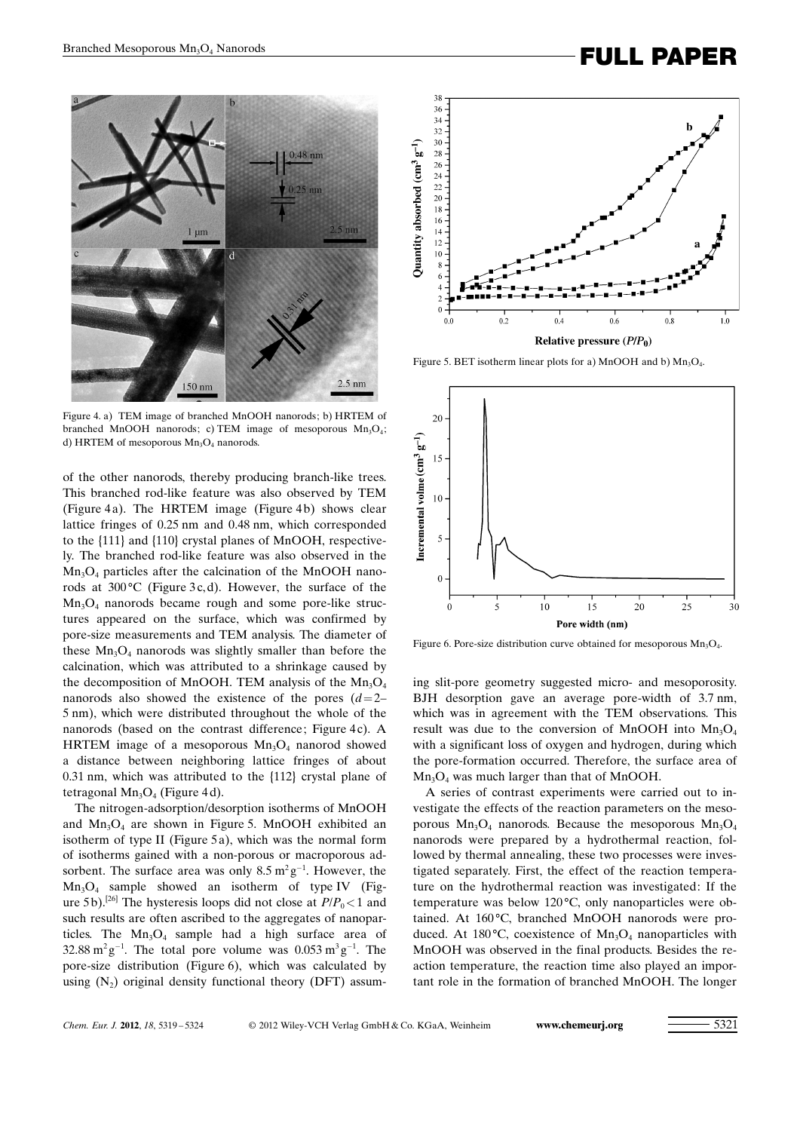# Branched Mesoporous Mn<sub>3</sub>O<sub>4</sub> Nanorods<br> **FULL PAPER**



Figure 4. a) TEM image of branched MnOOH nanorods; b) HRTEM of branched MnOOH nanorods; c) TEM image of mesoporous  $Mn_3O_4$ ; d) HRTEM of mesoporous  $Mn_3O_4$  nanorods.

of the other nanorods, thereby producing branch-like trees. This branched rod-like feature was also observed by TEM (Figure 4 a). The HRTEM image (Figure 4 b) shows clear lattice fringes of 0.25 nm and 0.48 nm, which corresponded to the {111} and {110} crystal planes of MnOOH, respectively. The branched rod-like feature was also observed in the  $Mn<sub>3</sub>O<sub>4</sub>$  particles after the calcination of the MnOOH nanorods at  $300^{\circ}$ C (Figure 3c,d). However, the surface of the  $Mn<sub>3</sub>O<sub>4</sub>$  nanorods became rough and some pore-like structures appeared on the surface, which was confirmed by pore-size measurements and TEM analysis. The diameter of these  $Mn_3O_4$  nanorods was slightly smaller than before the calcination, which was attributed to a shrinkage caused by the decomposition of MnOOH. TEM analysis of the  $Mn_3O_4$ nanorods also showed the existence of the pores  $(d=2-$ 5 nm), which were distributed throughout the whole of the nanorods (based on the contrast difference; Figure 4c). A HRTEM image of a mesoporous  $Mn<sub>3</sub>O<sub>4</sub>$  nanorod showed a distance between neighboring lattice fringes of about 0.31 nm, which was attributed to the {112} crystal plane of tetragonal  $Mn_3O_4$  (Figure 4d).

The nitrogen-adsorption/desorption isotherms of MnOOH and  $Mn_3O_4$  are shown in Figure 5. MnOOH exhibited an isotherm of type II (Figure 5a), which was the normal form of isotherms gained with a non-porous or macroporous adsorbent. The surface area was only  $8.5 \text{ m}^2 \text{g}^{-1}$ . However, the  $Mn<sub>3</sub>O<sub>4</sub>$  sample showed an isotherm of type IV (Figure 5 b).<sup>[26]</sup> The hysteresis loops did not close at  $P/P_0 < 1$  and such results are often ascribed to the aggregates of nanoparticles. The  $Mn_3O_4$  sample had a high surface area of 32.88 m<sup>2</sup> g<sup>-1</sup>. The total pore volume was 0.053 m<sup>3</sup> g<sup>-1</sup>. The pore-size distribution (Figure 6), which was calculated by using  $(N_2)$  original density functional theory (DFT) assum-



Figure 5. BET isotherm linear plots for a) MnOOH and b)  $Mn_3O<sub>4</sub>$ .



Figure 6. Pore-size distribution curve obtained for mesoporous  $Mn_3O_4$ .

ing slit-pore geometry suggested micro- and mesoporosity. BJH desorption gave an average pore-width of 3.7 nm, which was in agreement with the TEM observations. This result was due to the conversion of MnOOH into  $Mn_3O_4$ with a significant loss of oxygen and hydrogen, during which the pore-formation occurred. Therefore, the surface area of  $Mn_3O_4$  was much larger than that of MnOOH.

A series of contrast experiments were carried out to investigate the effects of the reaction parameters on the mesoporous  $Mn_3O_4$  nanorods. Because the mesoporous  $Mn_3O_4$ nanorods were prepared by a hydrothermal reaction, followed by thermal annealing, these two processes were investigated separately. First, the effect of the reaction temperature on the hydrothermal reaction was investigated: If the temperature was below  $120^{\circ}$ C, only nanoparticles were obtained. At 160°C, branched MnOOH nanorods were produced. At 180 $\degree$ C, coexistence of Mn<sub>3</sub>O<sub>4</sub> nanoparticles with MnOOH was observed in the final products. Besides the reaction temperature, the reaction time also played an important role in the formation of branched MnOOH. The longer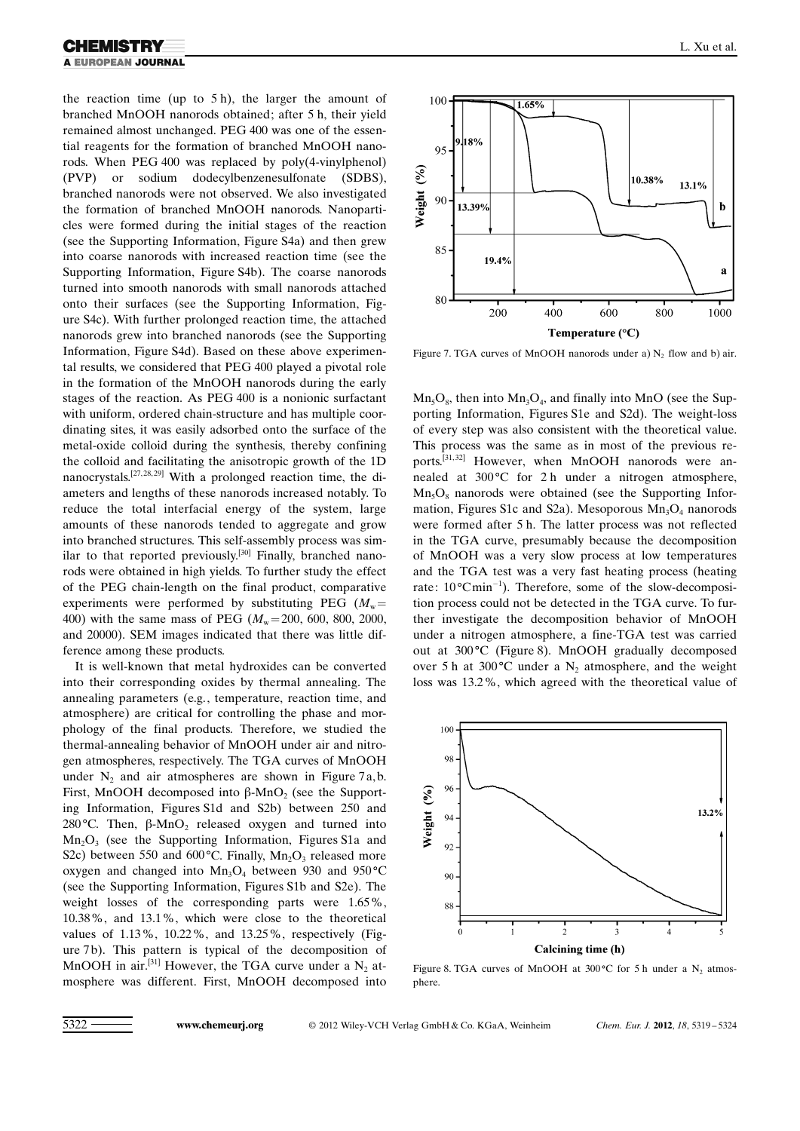the reaction time (up to 5 h), the larger the amount of branched MnOOH nanorods obtained; after 5 h, their yield remained almost unchanged. PEG 400 was one of the essential reagents for the formation of branched MnOOH nanorods. When PEG 400 was replaced by poly(4-vinylphenol) (PVP) or sodium dodecylbenzenesulfonate (SDBS), branched nanorods were not observed. We also investigated the formation of branched MnOOH nanorods. Nanoparticles were formed during the initial stages of the reaction (see the Supporting Information, Figure S4a) and then grew into coarse nanorods with increased reaction time (see the Supporting Information, Figure S4b). The coarse nanorods turned into smooth nanorods with small nanorods attached onto their surfaces (see the Supporting Information, Figure S4c). With further prolonged reaction time, the attached nanorods grew into branched nanorods (see the Supporting Information, Figure S4d). Based on these above experimental results, we considered that PEG 400 played a pivotal role in the formation of the MnOOH nanorods during the early stages of the reaction. As PEG 400 is a nonionic surfactant with uniform, ordered chain-structure and has multiple coordinating sites, it was easily adsorbed onto the surface of the metal-oxide colloid during the synthesis, thereby confining the colloid and facilitating the anisotropic growth of the 1D nanocrystals.<sup>[27, 28, 29]</sup> With a prolonged reaction time, the diameters and lengths of these nanorods increased notably. To reduce the total interfacial energy of the system, large amounts of these nanorods tended to aggregate and grow into branched structures. This self-assembly process was similar to that reported previously.<sup>[30]</sup> Finally, branched nanorods were obtained in high yields. To further study the effect of the PEG chain-length on the final product, comparative experiments were performed by substituting PEG ( $M<sub>w</sub>$ = 400) with the same mass of PEG ( $M_{\rm w}$ =200, 600, 800, 2000, and 20000). SEM images indicated that there was little difference among these products.

It is well-known that metal hydroxides can be converted into their corresponding oxides by thermal annealing. The annealing parameters (e.g., temperature, reaction time, and atmosphere) are critical for controlling the phase and morphology of the final products. Therefore, we studied the thermal-annealing behavior of MnOOH under air and nitrogen atmospheres, respectively. The TGA curves of MnOOH under  $N_2$  and air atmospheres are shown in Figure 7 a, b. First, MnOOH decomposed into  $\beta$ -MnO<sub>2</sub> (see the Supporting Information, Figures S1d and S2b) between 250 and 280 °C. Then,  $\beta$ -MnO<sub>2</sub> released oxygen and turned into  $Mn<sub>2</sub>O<sub>3</sub>$  (see the Supporting Information, Figures S1a and S2c) between 550 and 600 $^{\circ}$ C. Finally, Mn<sub>2</sub>O<sub>3</sub> released more oxygen and changed into  $Mn_3O_4$  between 930 and 950 °C (see the Supporting Information, Figures S1b and S2e). The weight losses of the corresponding parts were 1.65%, 10.38%, and 13.1%, which were close to the theoretical values of 1.13%, 10.22%, and 13.25%, respectively (Figure 7b). This pattern is typical of the decomposition of MnOOH in air.<sup>[31]</sup> However, the TGA curve under a  $N_2$  atmosphere was different. First, MnOOH decomposed into



Figure 7. TGA curves of MnOOH nanorods under a)  $N_2$  flow and b) air.

 $Mn_5O_8$ , then into  $Mn_3O_4$ , and finally into MnO (see the Supporting Information, Figures S1e and S2d). The weight-loss of every step was also consistent with the theoretical value. This process was the same as in most of the previous reports.<sup>[31,32]</sup> However, when MnOOH nanorods were annealed at  $300^{\circ}$ C for 2 h under a nitrogen atmosphere,  $Mn<sub>5</sub>O<sub>8</sub>$  nanorods were obtained (see the Supporting Information, Figures S1c and S2a). Mesoporous  $Mn_3O_4$  nanorods were formed after 5 h. The latter process was not reflected in the TGA curve, presumably because the decomposition of MnOOH was a very slow process at low temperatures and the TGA test was a very fast heating process (heating rate: 10°Cmin<sup>-1</sup>). Therefore, some of the slow-decomposition process could not be detected in the TGA curve. To further investigate the decomposition behavior of MnOOH under a nitrogen atmosphere, a fine-TGA test was carried out at  $300^{\circ}$ C (Figure 8). MnOOH gradually decomposed over 5 h at 300 °C under a  $N_2$  atmosphere, and the weight loss was 13.2%, which agreed with the theoretical value of



Figure 8. TGA curves of MnOOH at 300 °C for 5 h under a  $N_2$  atmosphere.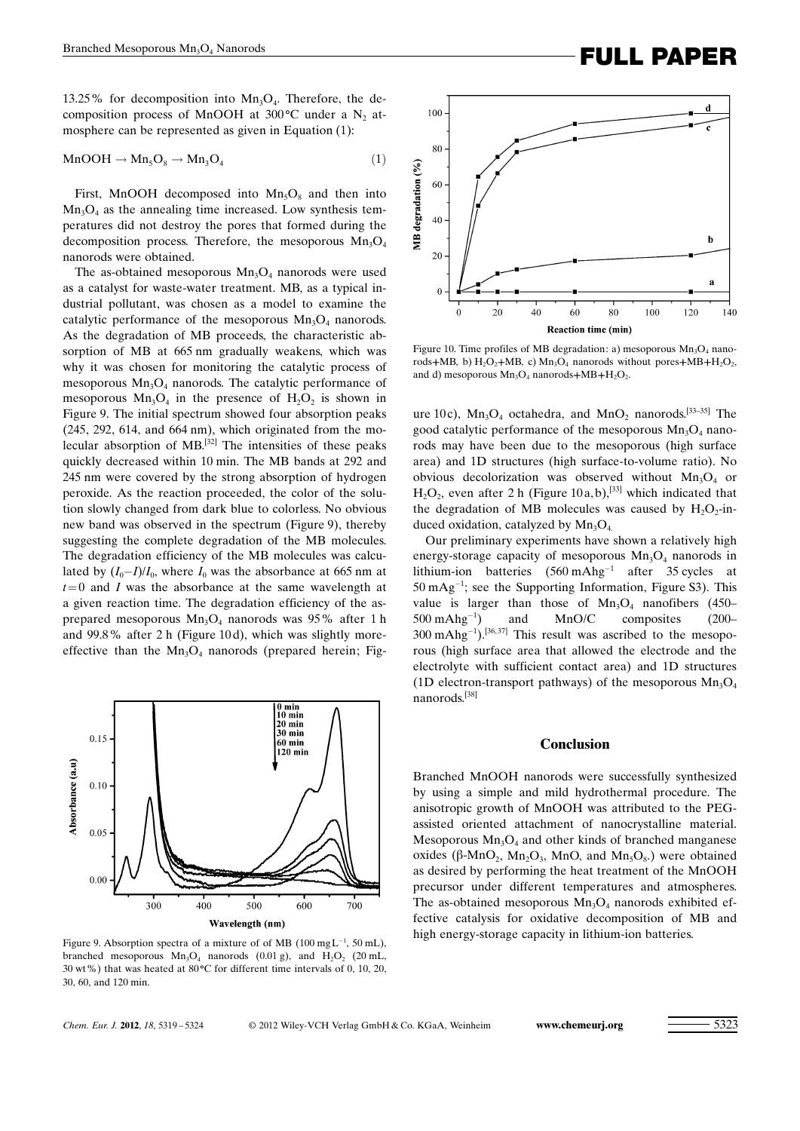13.25% for decomposition into  $Mn_3O_4$ . Therefore, the decomposition process of MnOOH at  $300^{\circ}$ C under a N<sub>2</sub> atmosphere can be represented as given in Equation (1):

$$
MnOOH \to Mn_5O_8 \to Mn_3O_4 \tag{1}
$$

First, MnOOH decomposed into  $Mn_5O_8$  and then into  $Mn_3O_4$  as the annealing time increased. Low synthesis temperatures did not destroy the pores that formed during the decomposition process. Therefore, the mesoporous  $Mn_3O_4$ nanorods were obtained.

The as-obtained mesoporous  $Mn<sub>3</sub>O<sub>4</sub>$  nanorods were used as a catalyst for waste-water treatment. MB, as a typical industrial pollutant, was chosen as a model to examine the catalytic performance of the mesoporous  $Mn_3O_4$  nanorods. As the degradation of MB proceeds, the characteristic absorption of MB at 665 nm gradually weakens, which was why it was chosen for monitoring the catalytic process of mesoporous  $Mn<sub>3</sub>O<sub>4</sub>$  nanorods. The catalytic performance of mesoporous  $Mn_3O_4$  in the presence of  $H_2O_2$  is shown in Figure 9. The initial spectrum showed four absorption peaks (245, 292, 614, and 664 nm), which originated from the molecular absorption of MB.[32] The intensities of these peaks quickly decreased within 10 min. The MB bands at 292 and 245 nm were covered by the strong absorption of hydrogen peroxide. As the reaction proceeded, the color of the solution slowly changed from dark blue to colorless. No obvious new band was observed in the spectrum (Figure 9), thereby suggesting the complete degradation of the MB molecules. The degradation efficiency of the MB molecules was calculated by  $(I_0 - I)/I_0$ , where  $I_0$  was the absorbance at 665 nm at  $t=0$  and I was the absorbance at the same wavelength at a given reaction time. The degradation efficiency of the asprepared mesoporous  $Mn_3O_4$  nanorods was 95% after 1 h and 99.8% after 2 h (Figure 10 d), which was slightly moreeffective than the  $Mn_3O_4$  nanorods (prepared herein; Fig-



Figure 9. Absorption spectra of a mixture of of MB (100 mgL<sup>-1</sup>, 50 mL), high energy-storage capacity in lithium-ion batteries. branched mesoporous  $Mn_3O_4$  nanorods (0.01 g), and  $H_2O_2$  (20 mL, 30 wt%) that was heated at  $80^{\circ}$ C for different time intervals of 0, 10, 20, 30, 60, and 120 min.



Figure 10. Time profiles of MB degradation: a) mesoporous  $Mn_3O_4$  nanorods+MB, b)  $H_2O_2$ +MB, c) Mn<sub>3</sub>O<sub>4</sub> nanorods without pores+MB+H<sub>2</sub>O<sub>2</sub>,

and d) mesoporous  $Mn_3O_4$  nanorods+MB+H<sub>2</sub>O<sub>2</sub>.

ure 10c),  $Mn_3O_4$  octahedra, and  $MnO_2$  nanorods.<sup>[33-35]</sup> The good catalytic performance of the mesoporous  $Mn_3O_4$  nanorods may have been due to the mesoporous (high surface area) and 1D structures (high surface-to-volume ratio). No obvious decolorization was observed without  $Mn_3O_4$  or  $H_2O_2$ , even after 2 h (Figure 10a, b),<sup>[33]</sup> which indicated that the degradation of MB molecules was caused by  $H_2O_2$ -induced oxidation, catalyzed by  $Mn_3O_4$ .

Our preliminary experiments have shown a relatively high energy-storage capacity of mesoporous  $Mn_3O_4$  nanorods in lithium-ion batteries  $(560 \text{ m} \text{A} \text{h} \text{g}^{-1}$  after 35 cycles at  $50 \text{ mA} \text{g}^{-1}$ ; see the Supporting Information, Figure S3). This value is larger than those of  $Mn_3O_4$  nanofibers (450–  $500 \text{ m}$ Ahg<sup>-1</sup> ) and MnO/C composites (200–  $300 \text{ mA}$ hg<sup>-1</sup>).<sup>[36,37]</sup> This result was ascribed to the mesoporous (high surface area that allowed the electrode and the electrolyte with sufficient contact area) and 1D structures (1D electron-transport pathways) of the mesoporous  $Mn_3O_4$ nanorods.[38]

## Conclusion

Branched MnOOH nanorods were successfully synthesized by using a simple and mild hydrothermal procedure. The anisotropic growth of MnOOH was attributed to the PEGassisted oriented attachment of nanocrystalline material. Mesoporous  $Mn<sub>3</sub>O<sub>4</sub>$  and other kinds of branched manganese oxides ( $\beta$ -MnO<sub>2</sub>, Mn<sub>2</sub>O<sub>3</sub>, MnO<sub>3</sub>, and Mn<sub>5</sub>O<sub>8</sub>.) were obtained as desired by performing the heat treatment of the MnOOH precursor under different temperatures and atmospheres. The as-obtained mesoporous  $Mn<sub>3</sub>O<sub>4</sub>$  nanorods exhibited effective catalysis for oxidative decomposition of MB and

Chem. Eur. J. 2012, 18, 5319-5324

© 2012 Wiley-VCH Verlag GmbH & Co. KGaA, Weinheim <www.chemeurj.org> – 532